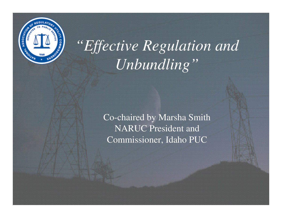

*"Effective Regulation and Unbundling"*

> Co-chaired by Marsha SmithNARUC President andCommissioner, Idaho PUC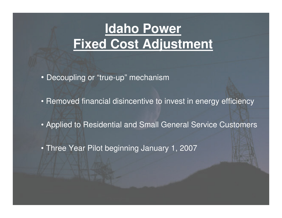## **Idaho Power Fixed Cost Adjustment**

• Decoupling or "true-up" mechanism

• Removed financial disincentive to invest in energy efficiency

• Applied to Residential and Small General Service Customers

• Three Year Pilot beginning January 1, 2007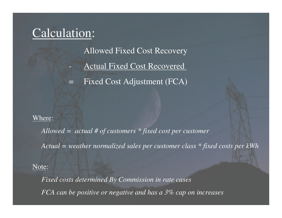### Calculation:

-

Allowed Fixed Cost Recovery

Actual Fixed Cost Recovered

=Fixed Cost Adjustment (FCA)

#### Where:

*Allowed = actual # of customers \* fixed cost per customer Actual = weather normalized sales per customer class \* fixed costs per kWh*

#### Note:

*Fixed costs determined By Commission in rate casesFCA can be positive or negative and has a 3% cap on increases*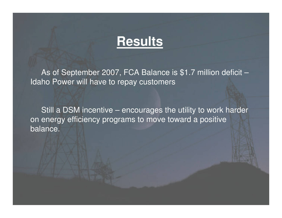### **Results**

As of September 2007, FCA Balance is \$1.7 million deficit –Idaho Power will have to repay customers

Still a DSM incentive – encourages the utility to work harder on energy efficiency programs to move toward a positive balance.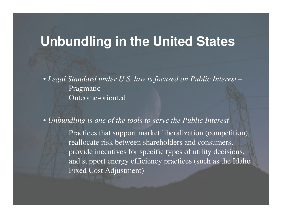### **Unbundling in the United States**

• *Legal Standard under U.S. law is focused on Public Interest –*PragmaticOutcome-oriented

• *Unbundling is one of the tools to serve the Public Interest –*

Practices that support market liberalization (competition), reallocate risk between shareholders and consumers,provide incentives for specific types of utility decisions, and support energy efficiency practices (such as the Idaho Fixed Cost Adjustment)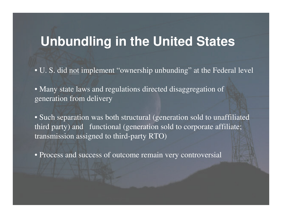### **Unbundling in the United States**

• U. S. did <u>not</u> implement "ownership unbunding" at the Federal level

• Many state laws and regulations directed disaggregation of generation from delivery

• Such separation was both structural (generation sold to unaffiliated third party) and functional (generation sold to corporate affiliate; transmission assigned to third-party RTO)

• Process and success of outcome remain very controversial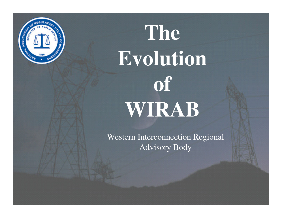

**The Evolution of WIRAB**

Western Interconnection Regional Advisory Body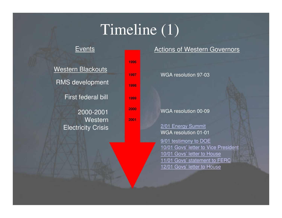# Timeline (1)

**1996**

#### **Events**

| Western Blackouts         | 1990. |
|---------------------------|-------|
| <b>RMS development</b>    | 1997  |
|                           | 1998  |
| <b>First federal bill</b> | 1999  |
| 2000-2001                 | 2000  |
| Western                   | 2001  |
| <b>Electricity Crisis</b> |       |
|                           |       |

#### **Actions of Western Governors**

WGA resolution 97-03

WGA resolution 00-09

2/01 Energy SummitWGA resolution 01-01

10/01 Govs' letter to House 11/01 Govs' statement to FERC9/01 testimony to DOE 10/01 Govs' letter to Vice President 12/01 Govs' letter to House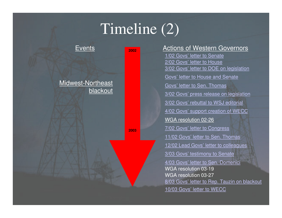# Timeline (2)

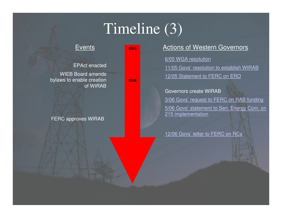# Timeline (3)

**2005**

**2006**

#### **Events**

#### EPAct enacted

WIEB Board amends bylaws to enable creation of WIRAB

FERC approves WIRAB

#### **Actions of Western Governors**

6/05 WGA resolution

11/05 Govs' resolution to establish WIRAB

12/05 Statement to FERC on ERO

5/06 Govs' statement to Sen. Energy Com. on 215 implementation3/06 Govs' request to FERC on RAB fundingGovernors create WIRAB

12/06 Govs' letter to FERC on RCs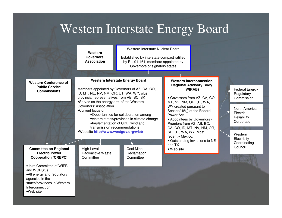### Western Interstate Energy Board

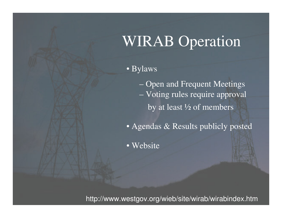## WIRAB Operation

• Bylaws

 $\mathcal{L}_{\mathcal{A}}$  Open and Frequent Meetings $\mathcal{L}_{\mathcal{A}}$  Voting rules require approval by at least ½ of members

• Agendas & Results publicly posted

• Website

http://www.westgov.org/wieb/site/wirab/wirabindex.htm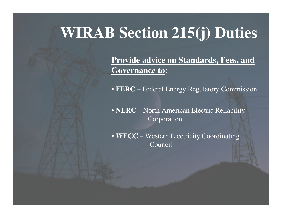## **WIRAB Section 215(j) Duties**

**Provide advice on Standards, Fees, and Governance to:**

• **FERC** – Federal Energy Regulatory Commission

• **NERC**– North American Electric Reliability Corporation

• **WECC** – Western Electricity Coordinating Council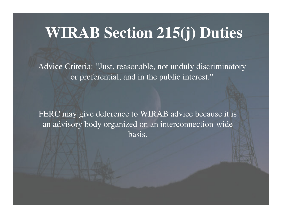## **WIRAB Section 215(j) Duties**

Advice Criteria: "Just, reasonable, not unduly discriminatory or preferential, and in the public interest."

FERC may give deference to WIRAB advice because it is an advisory body organized on an interconnection-wide basis.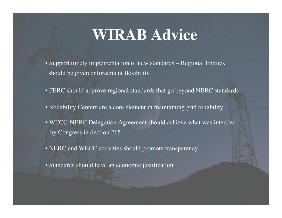## **WIRAB Advice**

- Support timely implementation of new standards Regional Entities should be given enforcement flexibility
- FERC should approve regional standards that go beyond NERC standards
- Reliability Centers are a core element in maintaining grid reliability
- WECC-NERC Delegation Agreement should achieve what was intended by Congress in Section 215
- NERC and WECC activities should promote transparency
- Standards should have an economic justification